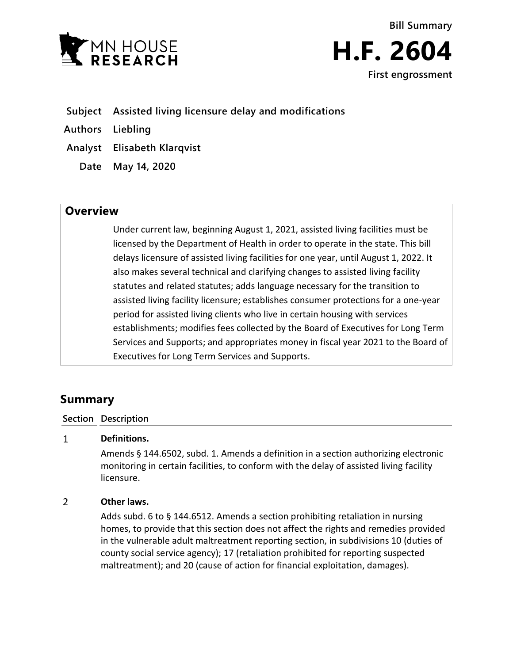



- **Subject Assisted living licensure delay and modifications**
- **Authors Liebling**
- **Analyst Elisabeth Klarqvist**
	- **Date May 14, 2020**

## **Overview**

Under current law, beginning August 1, 2021, assisted living facilities must be licensed by the Department of Health in order to operate in the state. This bill delays licensure of assisted living facilities for one year, until August 1, 2022. It also makes several technical and clarifying changes to assisted living facility statutes and related statutes; adds language necessary for the transition to assisted living facility licensure; establishes consumer protections for a one-year period for assisted living clients who live in certain housing with services establishments; modifies fees collected by the Board of Executives for Long Term Services and Supports; and appropriates money in fiscal year 2021 to the Board of Executives for Long Term Services and Supports.

# **Summary**

### **Section Description**

#### $\mathbf{1}$ **Definitions.**

Amends § 144.6502, subd. 1. Amends a definition in a section authorizing electronic monitoring in certain facilities, to conform with the delay of assisted living facility licensure.

#### $\overline{2}$ **Other laws.**

Adds subd. 6 to § 144.6512. Amends a section prohibiting retaliation in nursing homes, to provide that this section does not affect the rights and remedies provided in the vulnerable adult maltreatment reporting section, in subdivisions 10 (duties of county social service agency); 17 (retaliation prohibited for reporting suspected maltreatment); and 20 (cause of action for financial exploitation, damages).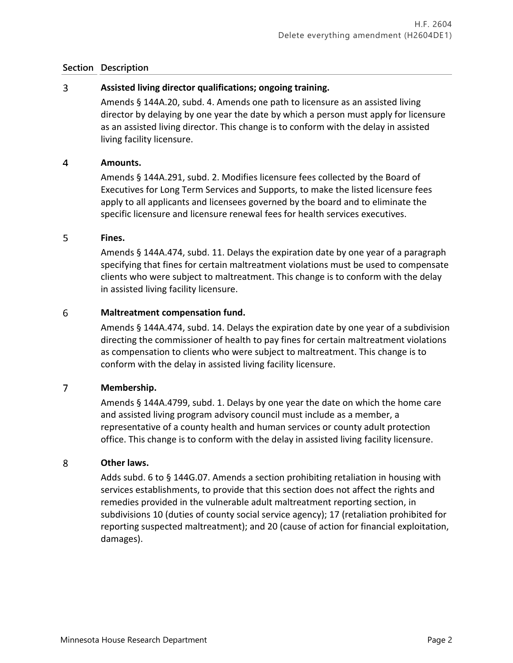#### $\overline{3}$ **Assisted living director qualifications; ongoing training.**

Amends § 144A.20, subd. 4. Amends one path to licensure as an assisted living director by delaying by one year the date by which a person must apply for licensure as an assisted living director. This change is to conform with the delay in assisted living facility licensure.

#### $\overline{4}$ **Amounts.**

Amends § 144A.291, subd. 2. Modifies licensure fees collected by the Board of Executives for Long Term Services and Supports, to make the listed licensure fees apply to all applicants and licensees governed by the board and to eliminate the specific licensure and licensure renewal fees for health services executives.

#### 5 **Fines.**

Amends § 144A.474, subd. 11. Delays the expiration date by one year of a paragraph specifying that fines for certain maltreatment violations must be used to compensate clients who were subject to maltreatment. This change is to conform with the delay in assisted living facility licensure.

#### 6 **Maltreatment compensation fund.**

Amends § 144A.474, subd. 14. Delays the expiration date by one year of a subdivision directing the commissioner of health to pay fines for certain maltreatment violations as compensation to clients who were subject to maltreatment. This change is to conform with the delay in assisted living facility licensure.

#### $\overline{7}$ **Membership.**

Amends § 144A.4799, subd. 1. Delays by one year the date on which the home care and assisted living program advisory council must include as a member, a representative of a county health and human services or county adult protection office. This change is to conform with the delay in assisted living facility licensure.

#### 8 **Other laws.**

Adds subd. 6 to § 144G.07. Amends a section prohibiting retaliation in housing with services establishments, to provide that this section does not affect the rights and remedies provided in the vulnerable adult maltreatment reporting section, in subdivisions 10 (duties of county social service agency); 17 (retaliation prohibited for reporting suspected maltreatment); and 20 (cause of action for financial exploitation, damages).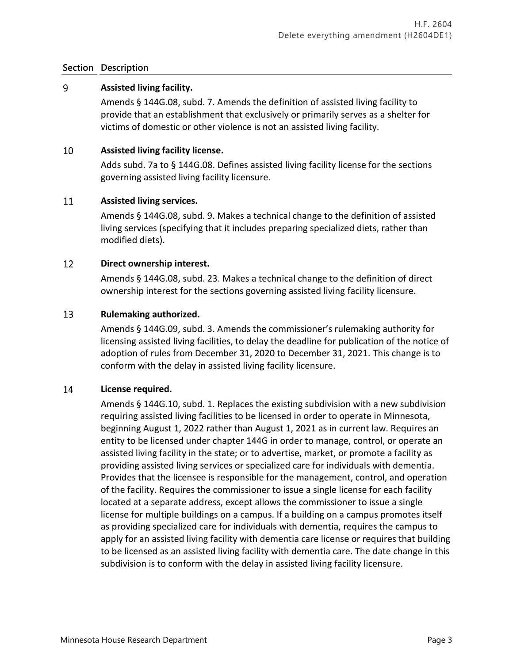#### 9 **Assisted living facility.**

Amends § 144G.08, subd. 7. Amends the definition of assisted living facility to provide that an establishment that exclusively or primarily serves as a shelter for victims of domestic or other violence is not an assisted living facility.

#### 10 **Assisted living facility license.**

Adds subd. 7a to § 144G.08. Defines assisted living facility license for the sections governing assisted living facility licensure.

#### 11 **Assisted living services.**

Amends § 144G.08, subd. 9. Makes a technical change to the definition of assisted living services (specifying that it includes preparing specialized diets, rather than modified diets).

#### 12 **Direct ownership interest.**

Amends § 144G.08, subd. 23. Makes a technical change to the definition of direct ownership interest for the sections governing assisted living facility licensure.

#### 13 **Rulemaking authorized.**

Amends § 144G.09, subd. 3. Amends the commissioner's rulemaking authority for licensing assisted living facilities, to delay the deadline for publication of the notice of adoption of rules from December 31, 2020 to December 31, 2021. This change is to conform with the delay in assisted living facility licensure.

#### 14 **License required.**

Amends § 144G.10, subd. 1. Replaces the existing subdivision with a new subdivision requiring assisted living facilities to be licensed in order to operate in Minnesota, beginning August 1, 2022 rather than August 1, 2021 as in current law. Requires an entity to be licensed under chapter 144G in order to manage, control, or operate an assisted living facility in the state; or to advertise, market, or promote a facility as providing assisted living services or specialized care for individuals with dementia. Provides that the licensee is responsible for the management, control, and operation of the facility. Requires the commissioner to issue a single license for each facility located at a separate address, except allows the commissioner to issue a single license for multiple buildings on a campus. If a building on a campus promotes itself as providing specialized care for individuals with dementia, requires the campus to apply for an assisted living facility with dementia care license or requires that building to be licensed as an assisted living facility with dementia care. The date change in this subdivision is to conform with the delay in assisted living facility licensure.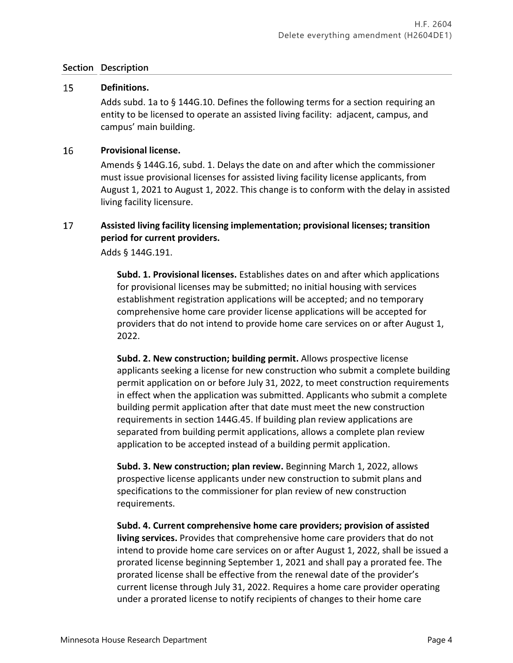#### 15 **Definitions.**

Adds subd. 1a to § 144G.10. Defines the following terms for a section requiring an entity to be licensed to operate an assisted living facility: adjacent, campus, and campus' main building.

#### 16 **Provisional license.**

Amends § 144G.16, subd. 1. Delays the date on and after which the commissioner must issue provisional licenses for assisted living facility license applicants, from August 1, 2021 to August 1, 2022. This change is to conform with the delay in assisted living facility licensure.

### 17 **Assisted living facility licensing implementation; provisional licenses; transition period for current providers.**

Adds § 144G.191.

**Subd. 1. Provisional licenses.** Establishes dates on and after which applications for provisional licenses may be submitted; no initial housing with services establishment registration applications will be accepted; and no temporary comprehensive home care provider license applications will be accepted for providers that do not intend to provide home care services on or after August 1, 2022.

**Subd. 2. New construction; building permit.** Allows prospective license applicants seeking a license for new construction who submit a complete building permit application on or before July 31, 2022, to meet construction requirements in effect when the application was submitted. Applicants who submit a complete building permit application after that date must meet the new construction requirements in section 144G.45. If building plan review applications are separated from building permit applications, allows a complete plan review application to be accepted instead of a building permit application.

**Subd. 3. New construction; plan review.** Beginning March 1, 2022, allows prospective license applicants under new construction to submit plans and specifications to the commissioner for plan review of new construction requirements.

**Subd. 4. Current comprehensive home care providers; provision of assisted living services.** Provides that comprehensive home care providers that do not intend to provide home care services on or after August 1, 2022, shall be issued a prorated license beginning September 1, 2021 and shall pay a prorated fee. The prorated license shall be effective from the renewal date of the provider's current license through July 31, 2022. Requires a home care provider operating under a prorated license to notify recipients of changes to their home care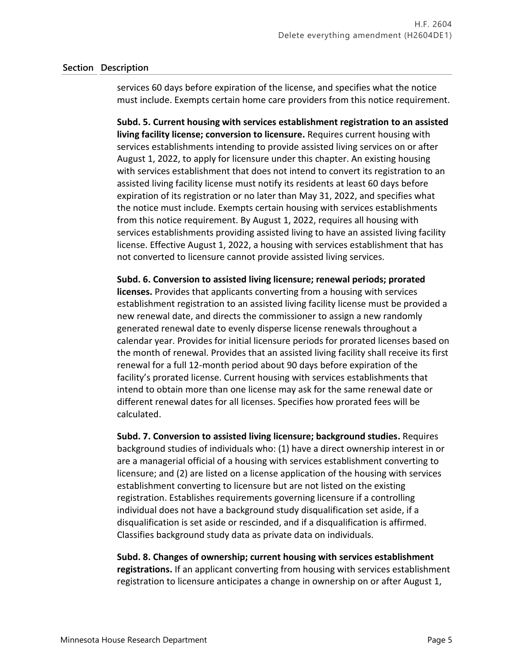services 60 days before expiration of the license, and specifies what the notice must include. Exempts certain home care providers from this notice requirement.

**Subd. 5. Current housing with services establishment registration to an assisted living facility license; conversion to licensure.** Requires current housing with services establishments intending to provide assisted living services on or after August 1, 2022, to apply for licensure under this chapter. An existing housing with services establishment that does not intend to convert its registration to an assisted living facility license must notify its residents at least 60 days before expiration of its registration or no later than May 31, 2022, and specifies what the notice must include. Exempts certain housing with services establishments from this notice requirement. By August 1, 2022, requires all housing with services establishments providing assisted living to have an assisted living facility license. Effective August 1, 2022, a housing with services establishment that has not converted to licensure cannot provide assisted living services.

**Subd. 6. Conversion to assisted living licensure; renewal periods; prorated licenses.** Provides that applicants converting from a housing with services establishment registration to an assisted living facility license must be provided a new renewal date, and directs the commissioner to assign a new randomly generated renewal date to evenly disperse license renewals throughout a calendar year. Provides for initial licensure periods for prorated licenses based on the month of renewal. Provides that an assisted living facility shall receive its first renewal for a full 12-month period about 90 days before expiration of the facility's prorated license. Current housing with services establishments that intend to obtain more than one license may ask for the same renewal date or different renewal dates for all licenses. Specifies how prorated fees will be calculated.

**Subd. 7. Conversion to assisted living licensure; background studies.** Requires background studies of individuals who: (1) have a direct ownership interest in or are a managerial official of a housing with services establishment converting to licensure; and (2) are listed on a license application of the housing with services establishment converting to licensure but are not listed on the existing registration. Establishes requirements governing licensure if a controlling individual does not have a background study disqualification set aside, if a disqualification is set aside or rescinded, and if a disqualification is affirmed. Classifies background study data as private data on individuals.

**Subd. 8. Changes of ownership; current housing with services establishment registrations.** If an applicant converting from housing with services establishment registration to licensure anticipates a change in ownership on or after August 1,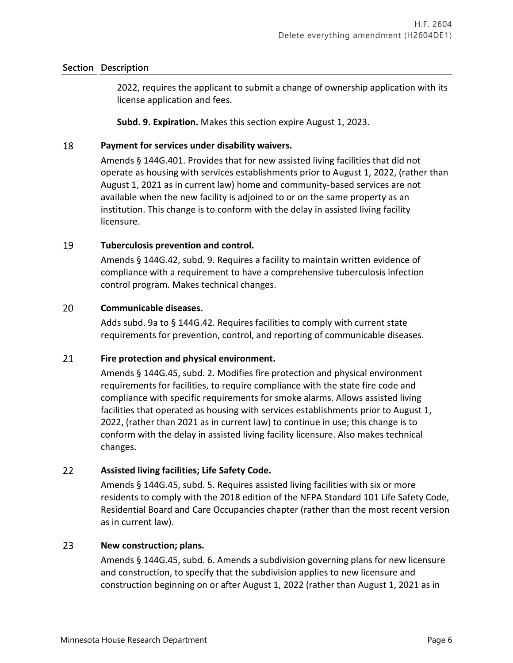2022, requires the applicant to submit a change of ownership application with its license application and fees.

**Subd. 9. Expiration.** Makes this section expire August 1, 2023.

#### 18 **Payment for services under disability waivers.**

Amends § 144G.401. Provides that for new assisted living facilities that did not operate as housing with services establishments prior to August 1, 2022, (rather than August 1, 2021 as in current law) home and community-based services are not available when the new facility is adjoined to or on the same property as an institution. This change is to conform with the delay in assisted living facility licensure.

#### 19 **Tuberculosis prevention and control.**

Amends § 144G.42, subd. 9. Requires a facility to maintain written evidence of compliance with a requirement to have a comprehensive tuberculosis infection control program. Makes technical changes.

#### 20 **Communicable diseases.**

Adds subd. 9a to § 144G.42. Requires facilities to comply with current state requirements for prevention, control, and reporting of communicable diseases.

#### 21 **Fire protection and physical environment.**

Amends § 144G.45, subd. 2. Modifies fire protection and physical environment requirements for facilities, to require compliance with the state fire code and compliance with specific requirements for smoke alarms. Allows assisted living facilities that operated as housing with services establishments prior to August 1, 2022, (rather than 2021 as in current law) to continue in use; this change is to conform with the delay in assisted living facility licensure. Also makes technical changes.

#### 22 **Assisted living facilities; Life Safety Code.**

Amends § 144G.45, subd. 5. Requires assisted living facilities with six or more residents to comply with the 2018 edition of the NFPA Standard 101 Life Safety Code, Residential Board and Care Occupancies chapter (rather than the most recent version as in current law).

#### 23 **New construction; plans.**

Amends § 144G.45, subd. 6. Amends a subdivision governing plans for new licensure and construction, to specify that the subdivision applies to new licensure and construction beginning on or after August 1, 2022 (rather than August 1, 2021 as in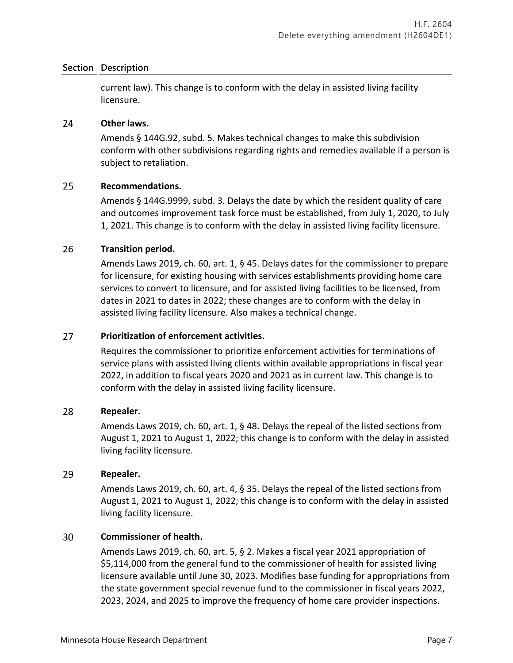current law). This change is to conform with the delay in assisted living facility licensure.

#### 24 **Other laws.**

Amends § 144G.92, subd. 5. Makes technical changes to make this subdivision conform with other subdivisions regarding rights and remedies available if a person is subject to retaliation.

#### 25 **Recommendations.**

Amends § 144G.9999, subd. 3. Delays the date by which the resident quality of care and outcomes improvement task force must be established, from July 1, 2020, to July 1, 2021. This change is to conform with the delay in assisted living facility licensure.

#### 26 **Transition period.**

Amends Laws 2019, ch. 60, art. 1, § 45. Delays dates for the commissioner to prepare for licensure, for existing housing with services establishments providing home care services to convert to licensure, and for assisted living facilities to be licensed, from dates in 2021 to dates in 2022; these changes are to conform with the delay in assisted living facility licensure. Also makes a technical change.

#### 27 **Prioritization of enforcement activities.**

Requires the commissioner to prioritize enforcement activities for terminations of service plans with assisted living clients within available appropriations in fiscal year 2022, in addition to fiscal years 2020 and 2021 as in current law. This change is to conform with the delay in assisted living facility licensure.

#### 28 **Repealer.**

Amends Laws 2019, ch. 60, art. 1, § 48. Delays the repeal of the listed sections from August 1, 2021 to August 1, 2022; this change is to conform with the delay in assisted living facility licensure.

#### 29 **Repealer.**

Amends Laws 2019, ch. 60, art. 4, § 35. Delays the repeal of the listed sections from August 1, 2021 to August 1, 2022; this change is to conform with the delay in assisted living facility licensure.

#### 30 **Commissioner of health.**

Amends Laws 2019, ch. 60, art. 5, § 2. Makes a fiscal year 2021 appropriation of \$5,114,000 from the general fund to the commissioner of health for assisted living licensure available until June 30, 2023. Modifies base funding for appropriations from the state government special revenue fund to the commissioner in fiscal years 2022, 2023, 2024, and 2025 to improve the frequency of home care provider inspections.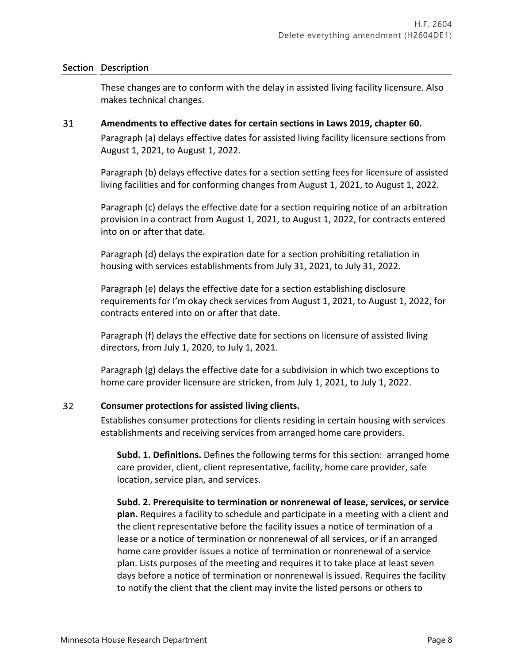These changes are to conform with the delay in assisted living facility licensure. Also makes technical changes.

#### 31 **Amendments to effective dates for certain sections in Laws 2019, chapter 60.**

Paragraph (a) delays effective dates for assisted living facility licensure sections from August 1, 2021, to August 1, 2022.

Paragraph (b) delays effective dates for a section setting fees for licensure of assisted living facilities and for conforming changes from August 1, 2021, to August 1, 2022.

Paragraph (c) delays the effective date for a section requiring notice of an arbitration provision in a contract from August 1, 2021, to August 1, 2022, for contracts entered into on or after that date.

Paragraph (d) delays the expiration date for a section prohibiting retaliation in housing with services establishments from July 31, 2021, to July 31, 2022.

Paragraph (e) delays the effective date for a section establishing disclosure requirements for I'm okay check services from August 1, 2021, to August 1, 2022, for contracts entered into on or after that date.

Paragraph (f) delays the effective date for sections on licensure of assisted living directors, from July 1, 2020, to July 1, 2021.

Paragraph (g) delays the effective date for a subdivision in which two exceptions to home care provider licensure are stricken, from July 1, 2021, to July 1, 2022.

#### $32<sup>2</sup>$ **Consumer protections for assisted living clients.**

Establishes consumer protections for clients residing in certain housing with services establishments and receiving services from arranged home care providers.

**Subd. 1. Definitions.** Defines the following terms for this section: arranged home care provider, client, client representative, facility, home care provider, safe location, service plan, and services.

**Subd. 2. Prerequisite to termination or nonrenewal of lease, services, or service plan.** Requires a facility to schedule and participate in a meeting with a client and the client representative before the facility issues a notice of termination of a lease or a notice of termination or nonrenewal of all services, or if an arranged home care provider issues a notice of termination or nonrenewal of a service plan. Lists purposes of the meeting and requires it to take place at least seven days before a notice of termination or nonrenewal is issued. Requires the facility to notify the client that the client may invite the listed persons or others to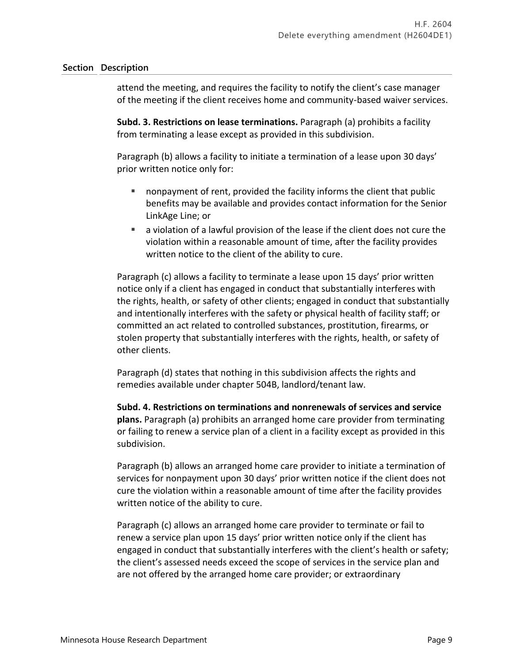attend the meeting, and requires the facility to notify the client's case manager of the meeting if the client receives home and community-based waiver services.

**Subd. 3. Restrictions on lease terminations.** Paragraph (a) prohibits a facility from terminating a lease except as provided in this subdivision.

Paragraph (b) allows a facility to initiate a termination of a lease upon 30 days' prior written notice only for:

- nonpayment of rent, provided the facility informs the client that public benefits may be available and provides contact information for the Senior LinkAge Line; or
- a violation of a lawful provision of the lease if the client does not cure the violation within a reasonable amount of time, after the facility provides written notice to the client of the ability to cure.

Paragraph (c) allows a facility to terminate a lease upon 15 days' prior written notice only if a client has engaged in conduct that substantially interferes with the rights, health, or safety of other clients; engaged in conduct that substantially and intentionally interferes with the safety or physical health of facility staff; or committed an act related to controlled substances, prostitution, firearms, or stolen property that substantially interferes with the rights, health, or safety of other clients.

Paragraph (d) states that nothing in this subdivision affects the rights and remedies available under chapter 504B, landlord/tenant law.

**Subd. 4. Restrictions on terminations and nonrenewals of services and service plans.** Paragraph (a) prohibits an arranged home care provider from terminating or failing to renew a service plan of a client in a facility except as provided in this subdivision.

Paragraph (b) allows an arranged home care provider to initiate a termination of services for nonpayment upon 30 days' prior written notice if the client does not cure the violation within a reasonable amount of time after the facility provides written notice of the ability to cure.

Paragraph (c) allows an arranged home care provider to terminate or fail to renew a service plan upon 15 days' prior written notice only if the client has engaged in conduct that substantially interferes with the client's health or safety; the client's assessed needs exceed the scope of services in the service plan and are not offered by the arranged home care provider; or extraordinary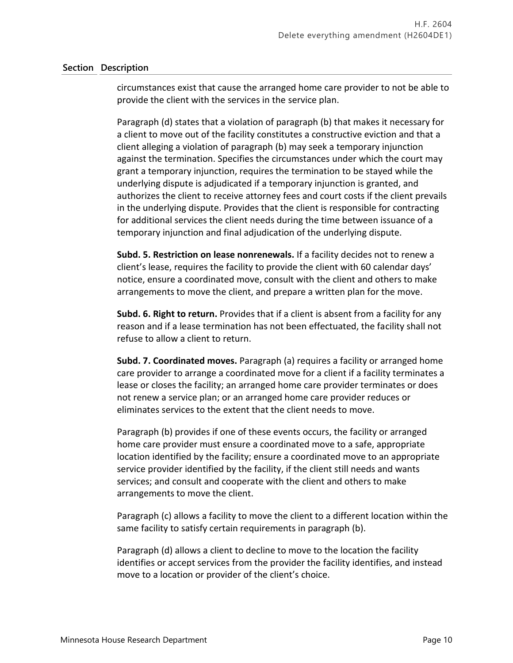circumstances exist that cause the arranged home care provider to not be able to provide the client with the services in the service plan.

Paragraph (d) states that a violation of paragraph (b) that makes it necessary for a client to move out of the facility constitutes a constructive eviction and that a client alleging a violation of paragraph (b) may seek a temporary injunction against the termination. Specifies the circumstances under which the court may grant a temporary injunction, requires the termination to be stayed while the underlying dispute is adjudicated if a temporary injunction is granted, and authorizes the client to receive attorney fees and court costs if the client prevails in the underlying dispute. Provides that the client is responsible for contracting for additional services the client needs during the time between issuance of a temporary injunction and final adjudication of the underlying dispute.

**Subd. 5. Restriction on lease nonrenewals.** If a facility decides not to renew a client's lease, requires the facility to provide the client with 60 calendar days' notice, ensure a coordinated move, consult with the client and others to make arrangements to move the client, and prepare a written plan for the move.

**Subd. 6. Right to return.** Provides that if a client is absent from a facility for any reason and if a lease termination has not been effectuated, the facility shall not refuse to allow a client to return.

**Subd. 7. Coordinated moves.** Paragraph (a) requires a facility or arranged home care provider to arrange a coordinated move for a client if a facility terminates a lease or closes the facility; an arranged home care provider terminates or does not renew a service plan; or an arranged home care provider reduces or eliminates services to the extent that the client needs to move.

Paragraph (b) provides if one of these events occurs, the facility or arranged home care provider must ensure a coordinated move to a safe, appropriate location identified by the facility; ensure a coordinated move to an appropriate service provider identified by the facility, if the client still needs and wants services; and consult and cooperate with the client and others to make arrangements to move the client.

Paragraph (c) allows a facility to move the client to a different location within the same facility to satisfy certain requirements in paragraph (b).

Paragraph (d) allows a client to decline to move to the location the facility identifies or accept services from the provider the facility identifies, and instead move to a location or provider of the client's choice.